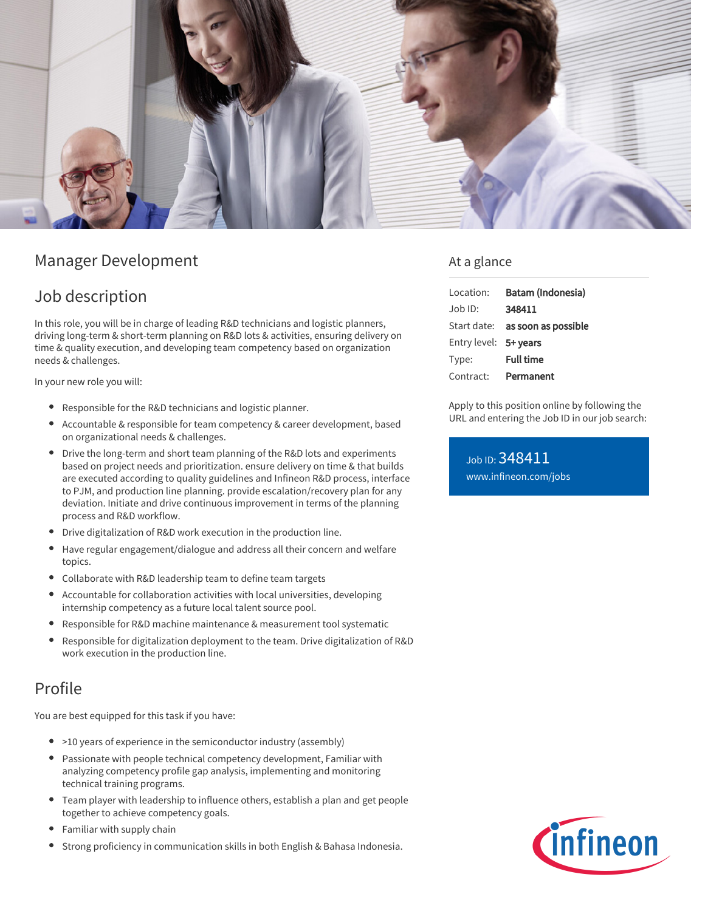

# Manager Development

# Job description

In this role, you will be in charge of leading R&D technicians and logistic planners, driving long-term & short-term planning on R&D lots & activities, ensuring delivery on time & quality execution, and developing team competency based on organization needs & challenges.

In your new role you will:

- **•** Responsible for the R&D technicians and logistic planner.
- Accountable & responsible for team competency & career development, based on organizational needs & challenges.
- Drive the long-term and short team planning of the R&D lots and experiments based on project needs and prioritization. ensure delivery on time & that builds are executed according to quality guidelines and Infineon R&D process, interface to PJM, and production line planning. provide escalation/recovery plan for any deviation. Initiate and drive continuous improvement in terms of the planning process and R&D workflow.
- Drive digitalization of R&D work execution in the production line.
- Have regular engagement/dialogue and address all their concern and welfare topics.
- Collaborate with R&D leadership team to define team targets
- Accountable for collaboration activities with local universities, developing internship competency as a future local talent source pool.
- Responsible for R&D machine maintenance & measurement tool systematic
- $\bullet$ Responsible for digitalization deployment to the team. Drive digitalization of R&D work execution in the production line.

# Profile

You are best equipped for this task if you have:

- >10 years of experience in the semiconductor industry (assembly)
- Passionate with people technical competency development, Familiar with analyzing competency profile gap analysis, implementing and monitoring technical training programs.
- Team player with leadership to influence others, establish a plan and get people together to achieve competency goals.
- Familiar with supply chain
- Strong proficiency in communication skills in both English & Bahasa Indonesia.

### At a glance

| Location:             | Batam (Indonesia)               |
|-----------------------|---------------------------------|
| Job ID:               | 348411                          |
|                       | Start date: as soon as possible |
| Entry level: 5+ years |                                 |
| Type:                 | <b>Full time</b>                |
| Contract:             | Permanent                       |

Apply to this position online by following the URL and entering the Job ID in our job search:

Job ID: 348411 [www.infineon.com/jobs](https://www.infineon.com/jobs)